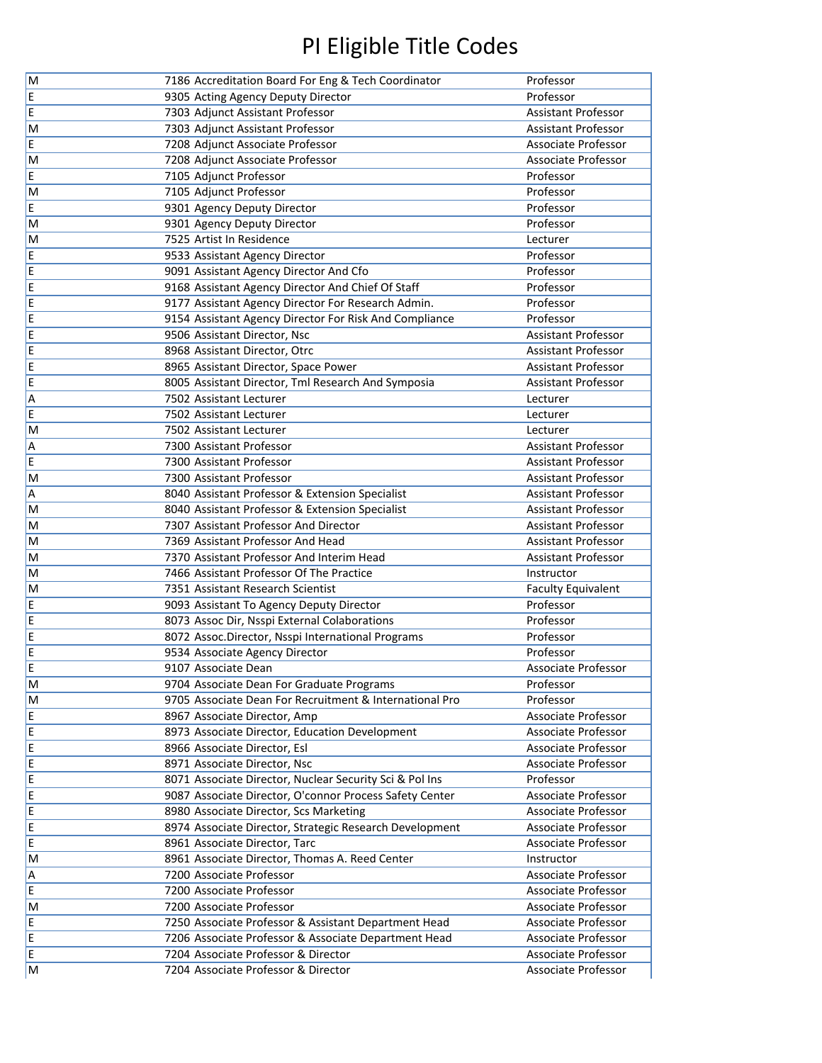| M      | 7186 Accreditation Board For Eng & Tech Coordinator                             | Professor                                  |
|--------|---------------------------------------------------------------------------------|--------------------------------------------|
| E      | 9305 Acting Agency Deputy Director                                              | Professor                                  |
| E      | 7303 Adjunct Assistant Professor                                                | <b>Assistant Professor</b>                 |
| M      | 7303 Adjunct Assistant Professor                                                | <b>Assistant Professor</b>                 |
| E      | 7208 Adjunct Associate Professor                                                | Associate Professor                        |
| M      | 7208 Adjunct Associate Professor                                                | Associate Professor                        |
| E      | 7105 Adjunct Professor                                                          | Professor                                  |
| M      | 7105 Adjunct Professor                                                          | Professor                                  |
| E      | 9301 Agency Deputy Director                                                     | Professor                                  |
| M      | 9301 Agency Deputy Director                                                     | Professor                                  |
| M      | 7525 Artist In Residence                                                        | Lecturer                                   |
| E      | 9533 Assistant Agency Director                                                  | Professor                                  |
| E      | 9091 Assistant Agency Director And Cfo                                          | Professor                                  |
| E      | 9168 Assistant Agency Director And Chief Of Staff                               | Professor                                  |
| E      | 9177 Assistant Agency Director For Research Admin.                              | Professor                                  |
| E      | 9154 Assistant Agency Director For Risk And Compliance                          | Professor                                  |
| E      | 9506 Assistant Director, Nsc                                                    | <b>Assistant Professor</b>                 |
| E      | 8968 Assistant Director, Otrc                                                   | <b>Assistant Professor</b>                 |
| E      | 8965 Assistant Director, Space Power                                            | <b>Assistant Professor</b>                 |
| E      | 8005 Assistant Director, Tml Research And Symposia                              | <b>Assistant Professor</b>                 |
| А      | 7502 Assistant Lecturer                                                         | Lecturer                                   |
| E      | 7502 Assistant Lecturer                                                         | Lecturer                                   |
| M      | 7502 Assistant Lecturer                                                         | Lecturer                                   |
| Α      | 7300 Assistant Professor                                                        | <b>Assistant Professor</b>                 |
| E      | 7300 Assistant Professor                                                        | <b>Assistant Professor</b>                 |
| M      | 7300 Assistant Professor                                                        | <b>Assistant Professor</b>                 |
| Α      | 8040 Assistant Professor & Extension Specialist                                 | <b>Assistant Professor</b>                 |
| M      | 8040 Assistant Professor & Extension Specialist                                 | <b>Assistant Professor</b>                 |
| M      | 7307 Assistant Professor And Director                                           | <b>Assistant Professor</b>                 |
| M      | 7369 Assistant Professor And Head                                               | <b>Assistant Professor</b>                 |
| M      | 7370 Assistant Professor And Interim Head                                       | Assistant Professor                        |
| M      | 7466 Assistant Professor Of The Practice                                        | Instructor                                 |
| M      | 7351 Assistant Research Scientist                                               | <b>Faculty Equivalent</b>                  |
| E      | 9093 Assistant To Agency Deputy Director                                        | Professor                                  |
| E      | 8073 Assoc Dir, Nsspi External Colaborations                                    | Professor                                  |
| E      | 8072 Assoc.Director, Nsspi International Programs                               | Professor                                  |
| E      | 9534 Associate Agency Director                                                  | Professor                                  |
| E      | 9107 Associate Dean                                                             | Associate Professor                        |
| M      | 9704 Associate Dean For Graduate Programs                                       | Professor                                  |
| M      | 9705 Associate Dean For Recruitment & International Pro                         | Professor                                  |
| E      | 8967 Associate Director, Amp                                                    | Associate Professor                        |
| E      | 8973 Associate Director, Education Development                                  | Associate Professor                        |
| E      | 8966 Associate Director, Esl                                                    | Associate Professor                        |
| E      | 8971 Associate Director, Nsc                                                    | Associate Professor                        |
| E      | 8071 Associate Director, Nuclear Security Sci & Pol Ins                         | Professor                                  |
| E      | 9087 Associate Director, O'connor Process Safety Center                         | Associate Professor                        |
| E      | 8980 Associate Director, Scs Marketing                                          | Associate Professor<br>Associate Professor |
| E<br>E | 8974 Associate Director, Strategic Research Development                         | Associate Professor                        |
| M      | 8961 Associate Director, Tarc<br>8961 Associate Director, Thomas A. Reed Center | Instructor                                 |
| Α      | 7200 Associate Professor                                                        | Associate Professor                        |
| E      | 7200 Associate Professor                                                        | Associate Professor                        |
| M      | 7200 Associate Professor                                                        | Associate Professor                        |
| E      | 7250 Associate Professor & Assistant Department Head                            | Associate Professor                        |
| E      | 7206 Associate Professor & Associate Department Head                            | Associate Professor                        |
| E      | 7204 Associate Professor & Director                                             | Associate Professor                        |
| M      | 7204 Associate Professor & Director                                             | Associate Professor                        |
|        |                                                                                 |                                            |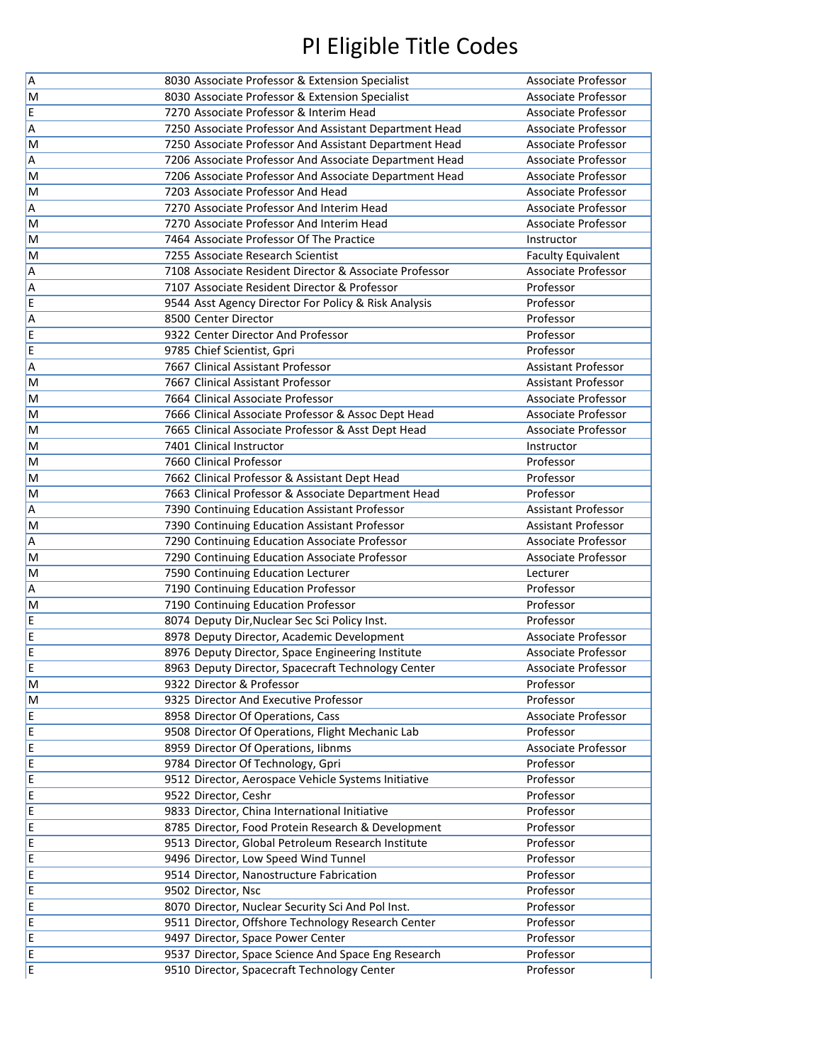| $\overline{A}$          |                                                        |                            |
|-------------------------|--------------------------------------------------------|----------------------------|
|                         | 8030 Associate Professor & Extension Specialist        | Associate Professor        |
| M                       | 8030 Associate Professor & Extension Specialist        | Associate Professor        |
| E                       | 7270 Associate Professor & Interim Head                | Associate Professor        |
| A                       | 7250 Associate Professor And Assistant Department Head | <b>Associate Professor</b> |
| M                       | 7250 Associate Professor And Assistant Department Head | <b>Associate Professor</b> |
| A                       | 7206 Associate Professor And Associate Department Head | <b>Associate Professor</b> |
| M                       | 7206 Associate Professor And Associate Department Head | <b>Associate Professor</b> |
| M                       | 7203 Associate Professor And Head                      | <b>Associate Professor</b> |
| A                       | 7270 Associate Professor And Interim Head              | <b>Associate Professor</b> |
| M                       | 7270 Associate Professor And Interim Head              | <b>Associate Professor</b> |
| M                       | 7464 Associate Professor Of The Practice               | Instructor                 |
| M                       | 7255 Associate Research Scientist                      | <b>Faculty Equivalent</b>  |
| A                       | 7108 Associate Resident Director & Associate Professor | Associate Professor        |
| A                       | 7107 Associate Resident Director & Professor           | Professor                  |
| E                       | 9544 Asst Agency Director For Policy & Risk Analysis   | Professor                  |
| A                       | 8500 Center Director                                   | Professor                  |
| E                       | 9322 Center Director And Professor                     | Professor                  |
| E                       | 9785 Chief Scientist, Gpri                             | Professor                  |
| A                       | 7667 Clinical Assistant Professor                      | <b>Assistant Professor</b> |
| M                       | 7667 Clinical Assistant Professor                      | <b>Assistant Professor</b> |
| M                       | 7664 Clinical Associate Professor                      | Associate Professor        |
| M                       | 7666 Clinical Associate Professor & Assoc Dept Head    | <b>Associate Professor</b> |
| M                       | 7665 Clinical Associate Professor & Asst Dept Head     | <b>Associate Professor</b> |
| M                       | 7401 Clinical Instructor                               | Instructor                 |
| M                       | 7660 Clinical Professor                                | Professor                  |
| M                       | 7662 Clinical Professor & Assistant Dept Head          | Professor                  |
| M                       | 7663 Clinical Professor & Associate Department Head    | Professor                  |
| A                       | 7390 Continuing Education Assistant Professor          | <b>Assistant Professor</b> |
| M                       | 7390 Continuing Education Assistant Professor          | <b>Assistant Professor</b> |
| A                       | 7290 Continuing Education Associate Professor          | Associate Professor        |
| M                       | 7290 Continuing Education Associate Professor          | Associate Professor        |
| M                       | 7590 Continuing Education Lecturer                     | Lecturer                   |
| A                       | 7190 Continuing Education Professor                    | Professor                  |
| M                       | 7190 Continuing Education Professor                    | Professor                  |
| E                       | 8074 Deputy Dir, Nuclear Sec Sci Policy Inst.          | Professor                  |
| E                       | 8978 Deputy Director, Academic Development             | Associate Professor        |
| E                       |                                                        |                            |
| ΙE                      | 8976 Deputy Director, Space Engineering Institute      | Associate Professor        |
| $\overline{\mathsf{M}}$ | 8963 Deputy Director, Spacecraft Technology Center     | Associate Professor        |
|                         | 9322 Director & Professor                              | Professor                  |
| M                       | 9325 Director And Executive Professor                  | Professor                  |
| E                       | 8958 Director Of Operations, Cass                      | Associate Professor        |
| E                       | 9508 Director Of Operations, Flight Mechanic Lab       | Professor                  |
| E                       | 8959 Director Of Operations, libnms                    | Associate Professor        |
| E                       | 9784 Director Of Technology, Gpri                      | Professor                  |
| E                       | 9512 Director, Aerospace Vehicle Systems Initiative    | Professor                  |
| E                       | 9522 Director, Ceshr                                   | Professor                  |
| E                       | 9833 Director, China International Initiative          | Professor                  |
| E                       | 8785 Director, Food Protein Research & Development     | Professor                  |
| E                       | 9513 Director, Global Petroleum Research Institute     | Professor                  |
| E                       | 9496 Director, Low Speed Wind Tunnel                   | Professor                  |
| E                       | 9514 Director, Nanostructure Fabrication               | Professor                  |
| E                       | 9502 Director, Nsc                                     | Professor                  |
| E                       | 8070 Director, Nuclear Security Sci And Pol Inst.      | Professor                  |
| E                       | 9511 Director, Offshore Technology Research Center     | Professor                  |
| E                       | 9497 Director, Space Power Center                      | Professor                  |
| E                       | 9537 Director, Space Science And Space Eng Research    | Professor                  |
| ΙE                      | 9510 Director, Spacecraft Technology Center            | Professor                  |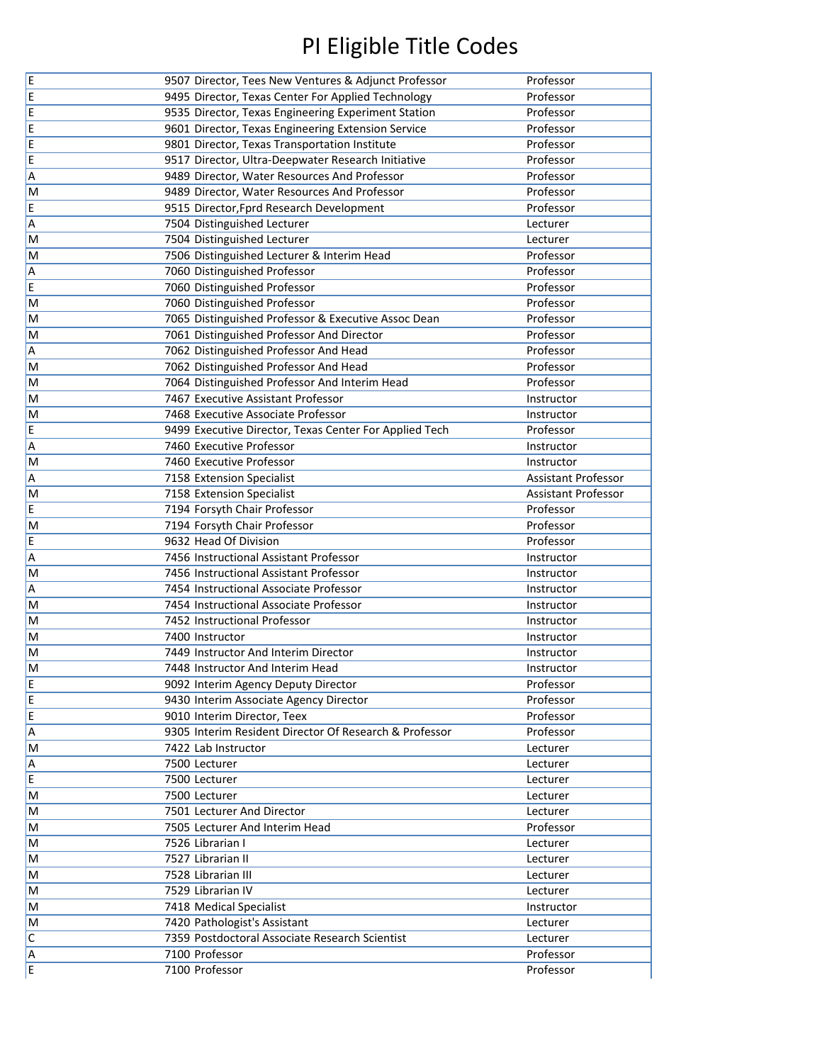| E                       | 9507 Director, Tees New Ventures & Adjunct Professor                  | Professor                  |
|-------------------------|-----------------------------------------------------------------------|----------------------------|
| E                       | 9495 Director, Texas Center For Applied Technology                    | Professor                  |
| E                       | 9535 Director, Texas Engineering Experiment Station                   | Professor                  |
| E                       | 9601 Director, Texas Engineering Extension Service                    | Professor                  |
| E                       | 9801 Director, Texas Transportation Institute                         | Professor                  |
| E                       | 9517 Director, Ultra-Deepwater Research Initiative                    | Professor                  |
| A                       | 9489 Director, Water Resources And Professor                          | Professor                  |
| M                       | 9489 Director, Water Resources And Professor                          | Professor                  |
| E                       | 9515 Director, Fprd Research Development                              | Professor                  |
| A                       | 7504 Distinguished Lecturer                                           | Lecturer                   |
| M                       | 7504 Distinguished Lecturer                                           | Lecturer                   |
| M                       | 7506 Distinguished Lecturer & Interim Head                            | Professor                  |
| A                       | 7060 Distinguished Professor                                          | Professor                  |
| E                       | 7060 Distinguished Professor                                          | Professor                  |
| M                       | 7060 Distinguished Professor                                          | Professor                  |
| M                       | 7065 Distinguished Professor & Executive Assoc Dean                   | Professor                  |
| M                       | 7061 Distinguished Professor And Director                             | Professor                  |
| A                       | 7062 Distinguished Professor And Head                                 | Professor                  |
| M                       | 7062 Distinguished Professor And Head                                 | Professor                  |
| M                       | 7064 Distinguished Professor And Interim Head                         | Professor                  |
| M                       | 7467 Executive Assistant Professor                                    | Instructor                 |
| M                       | 7468 Executive Associate Professor                                    | Instructor                 |
| E                       | 9499 Executive Director, Texas Center For Applied Tech                | Professor                  |
| A                       | 7460 Executive Professor                                              | Instructor                 |
| M                       | 7460 Executive Professor                                              | Instructor                 |
| A                       | 7158 Extension Specialist                                             | <b>Assistant Professor</b> |
| M                       | 7158 Extension Specialist                                             | <b>Assistant Professor</b> |
| E                       | 7194 Forsyth Chair Professor                                          | Professor                  |
| M                       | 7194 Forsyth Chair Professor                                          | Professor                  |
| E                       | 9632 Head Of Division                                                 | Professor                  |
| A                       | 7456 Instructional Assistant Professor                                | Instructor                 |
| M                       | 7456 Instructional Assistant Professor                                | Instructor                 |
| A                       | 7454 Instructional Associate Professor                                | Instructor                 |
| M                       | 7454 Instructional Associate Professor                                | Instructor                 |
| M                       | 7452 Instructional Professor                                          | Instructor                 |
| M                       | 7400 Instructor                                                       | Instructor                 |
| M                       | 7449 Instructor And Interim Director                                  | Instructor                 |
| M                       | 7448 Instructor And Interim Head                                      | Instructor                 |
| $\frac{E}{E}$           | 9092 Interim Agency Deputy Director                                   | Professor                  |
| E                       | 9430 Interim Associate Agency Director<br>9010 Interim Director, Teex | Professor<br>Professor     |
| $\overline{A}$          | 9305 Interim Resident Director Of Research & Professor                | Professor                  |
| $\overline{\mathsf{M}}$ | 7422 Lab Instructor                                                   | Lecturer                   |
| A                       | 7500 Lecturer                                                         | Lecturer                   |
| $\overline{E}$          | 7500 Lecturer                                                         | Lecturer                   |
| M                       | 7500 Lecturer                                                         | Lecturer                   |
| M                       | 7501 Lecturer And Director                                            | Lecturer                   |
| M                       | 7505 Lecturer And Interim Head                                        | Professor                  |
| M                       | 7526 Librarian I                                                      | Lecturer                   |
| M                       | 7527 Librarian II                                                     | Lecturer                   |
| M                       | 7528 Librarian III                                                    | Lecturer                   |
| M                       | 7529 Librarian IV                                                     | Lecturer                   |
| M                       | 7418 Medical Specialist                                               | Instructor                 |
| M                       | 7420 Pathologist's Assistant                                          | Lecturer                   |
|                         |                                                                       |                            |
| $\overline{\mathsf{C}}$ | 7359 Postdoctoral Associate Research Scientist                        | Lecturer                   |
| A<br>E                  | 7100 Professor                                                        | Professor                  |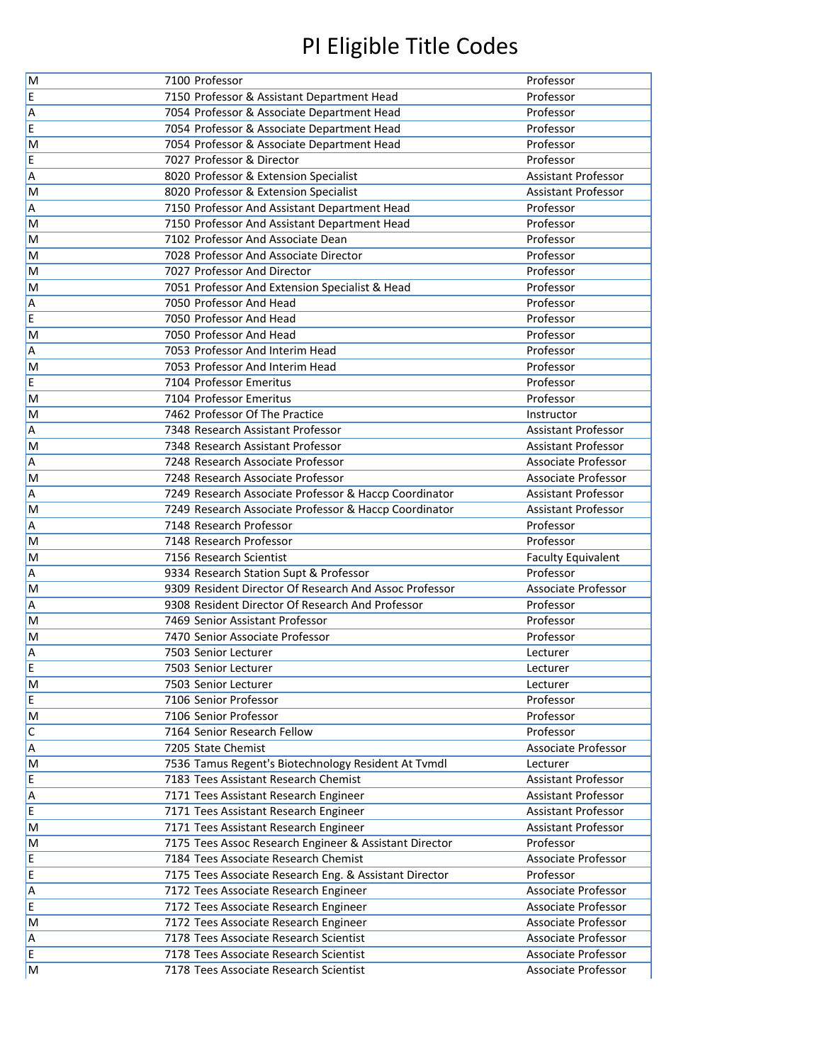| $\overline{\mathsf{M}}$ | 7100 Professor                                                                  | Professor                                                |
|-------------------------|---------------------------------------------------------------------------------|----------------------------------------------------------|
| E                       | 7150 Professor & Assistant Department Head                                      | Professor                                                |
| A                       | 7054 Professor & Associate Department Head                                      | Professor                                                |
| E                       | 7054 Professor & Associate Department Head                                      | Professor                                                |
| M                       | 7054 Professor & Associate Department Head                                      | Professor                                                |
| E                       | 7027 Professor & Director                                                       | Professor                                                |
| A                       | 8020 Professor & Extension Specialist                                           | <b>Assistant Professor</b>                               |
| M                       | 8020 Professor & Extension Specialist                                           | <b>Assistant Professor</b>                               |
| A                       | 7150 Professor And Assistant Department Head                                    | Professor                                                |
| M                       | 7150 Professor And Assistant Department Head                                    | Professor                                                |
| M                       | 7102 Professor And Associate Dean                                               | Professor                                                |
| M                       | 7028 Professor And Associate Director                                           | Professor                                                |
| M                       | 7027 Professor And Director                                                     | Professor                                                |
| M                       | 7051 Professor And Extension Specialist & Head                                  | Professor                                                |
| A                       | 7050 Professor And Head                                                         | Professor                                                |
| E                       | 7050 Professor And Head                                                         | Professor                                                |
| M                       | 7050 Professor And Head                                                         | Professor                                                |
| A                       | 7053 Professor And Interim Head                                                 | Professor                                                |
| M                       | 7053 Professor And Interim Head                                                 | Professor                                                |
| E                       | 7104 Professor Emeritus                                                         | Professor                                                |
| M                       | 7104 Professor Emeritus                                                         | Professor                                                |
| M                       | 7462 Professor Of The Practice                                                  | Instructor                                               |
| A                       | 7348 Research Assistant Professor                                               | <b>Assistant Professor</b>                               |
| M                       | 7348 Research Assistant Professor                                               | <b>Assistant Professor</b>                               |
| A                       | 7248 Research Associate Professor                                               | Associate Professor                                      |
| M                       | 7248 Research Associate Professor                                               | <b>Associate Professor</b>                               |
| A                       | 7249 Research Associate Professor & Haccp Coordinator                           | <b>Assistant Professor</b>                               |
| M                       | 7249 Research Associate Professor & Haccp Coordinator                           | <b>Assistant Professor</b>                               |
| A                       | 7148 Research Professor                                                         | Professor                                                |
| M                       | 7148 Research Professor                                                         | Professor                                                |
| M                       | 7156 Research Scientist                                                         | <b>Faculty Equivalent</b>                                |
| A                       | 9334 Research Station Supt & Professor                                          | Professor                                                |
| M                       | 9309 Resident Director Of Research And Assoc Professor                          | Associate Professor                                      |
| A                       | 9308 Resident Director Of Research And Professor                                | Professor                                                |
| M                       | 7469 Senior Assistant Professor                                                 | Professor                                                |
| M                       | 7470 Senior Associate Professor                                                 | Professor                                                |
| A                       | 7503 Senior Lecturer                                                            | Lecturer                                                 |
| E                       | 7503 Senior Lecturer                                                            | Lecturer                                                 |
| M                       | 7503 Senior Lecturer                                                            | Lecturer                                                 |
| E                       | 7106 Senior Professor                                                           | Professor                                                |
| M                       | 7106 Senior Professor                                                           | Professor                                                |
| $\overline{\mathsf{c}}$ | 7164 Senior Research Fellow                                                     | Professor                                                |
| A                       | 7205 State Chemist                                                              | Associate Professor                                      |
| M                       | 7536 Tamus Regent's Biotechnology Resident At Tvmdl                             | Lecturer                                                 |
| E                       | 7183 Tees Assistant Research Chemist                                            | Assistant Professor                                      |
| A<br> <br>E             | 7171 Tees Assistant Research Engineer                                           | Assistant Professor                                      |
|                         | 7171 Tees Assistant Research Engineer                                           | <b>Assistant Professor</b><br><b>Assistant Professor</b> |
| M                       | 7171 Tees Assistant Research Engineer                                           | Professor                                                |
| M<br>E                  | 7175 Tees Assoc Research Engineer & Assistant Director                          | Associate Professor                                      |
| E                       | 7184 Tees Associate Research Chemist                                            | Professor                                                |
|                         | 7175 Tees Associate Research Eng. & Assistant Director                          | Associate Professor                                      |
| A<br>E                  | 7172 Tees Associate Research Engineer                                           | Associate Professor                                      |
| M                       | 7172 Tees Associate Research Engineer                                           | Associate Professor                                      |
| A                       | 7172 Tees Associate Research Engineer<br>7178 Tees Associate Research Scientist | Associate Professor                                      |
| E                       | 7178 Tees Associate Research Scientist                                          | Associate Professor                                      |
| M                       | 7178 Tees Associate Research Scientist                                          | Associate Professor                                      |
|                         |                                                                                 |                                                          |